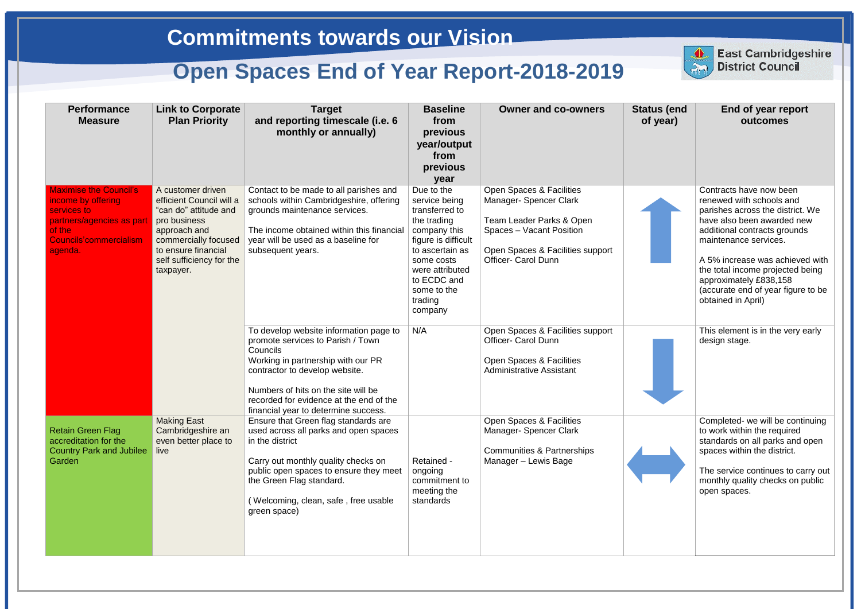| <b>Performance</b><br><b>Measure</b>                                                                                                           | <b>Link to Corporate</b><br><b>Plan Priority</b>                                                                                                                                               | <b>Target</b><br>and reporting timescale (i.e. 6<br>monthly or annually)                                                                                                                                                                                                                  | <b>Baseline</b><br>from<br>previous<br>year/output<br>from<br>previous<br>year                                                                                                                              | <b>Owner and co-owners</b>                                                                                                                                                   | <b>Status (end</b><br>of year) | End of year report<br>outcomes                                                                                                                                                                                                                                                                                                              |
|------------------------------------------------------------------------------------------------------------------------------------------------|------------------------------------------------------------------------------------------------------------------------------------------------------------------------------------------------|-------------------------------------------------------------------------------------------------------------------------------------------------------------------------------------------------------------------------------------------------------------------------------------------|-------------------------------------------------------------------------------------------------------------------------------------------------------------------------------------------------------------|------------------------------------------------------------------------------------------------------------------------------------------------------------------------------|--------------------------------|---------------------------------------------------------------------------------------------------------------------------------------------------------------------------------------------------------------------------------------------------------------------------------------------------------------------------------------------|
| <b>Maximise the Council's</b><br>income by offering<br>services to<br>partners/agencies as part<br>of the<br>Councils'commercialism<br>agenda. | A customer driven<br>efficient Council will a<br>"can do" attitude and<br>pro business<br>approach and<br>commercially focused<br>to ensure financial<br>self sufficiency for the<br>taxpayer. | Contact to be made to all parishes and<br>schools within Cambridgeshire, offering<br>grounds maintenance services.<br>The income obtained within this financial<br>year will be used as a baseline for<br>subsequent years.                                                               | Due to the<br>service being<br>transferred to<br>the trading<br>company this<br>figure is difficult<br>to ascertain as<br>some costs<br>were attributed<br>to ECDC and<br>some to the<br>trading<br>company | Open Spaces & Facilities<br>Manager- Spencer Clark<br>Team Leader Parks & Open<br>Spaces - Vacant Position<br>Open Spaces & Facilities support<br><b>Officer- Carol Dunn</b> |                                | Contracts have now been<br>renewed with schools and<br>parishes across the district. We<br>have also been awarded new<br>additional contracts grounds<br>maintenance services.<br>A 5% increase was achieved with<br>the total income projected being<br>approximately £838,158<br>(accurate end of year figure to be<br>obtained in April) |
|                                                                                                                                                |                                                                                                                                                                                                | To develop website information page to<br>promote services to Parish / Town<br>Councils<br>Working in partnership with our PR<br>contractor to develop website.<br>Numbers of hits on the site will be<br>recorded for evidence at the end of the<br>financial year to determine success. | N/A                                                                                                                                                                                                         | Open Spaces & Facilities support<br><b>Officer- Carol Dunn</b><br>Open Spaces & Facilities<br><b>Administrative Assistant</b>                                                |                                | This element is in the very early<br>design stage.                                                                                                                                                                                                                                                                                          |
| <b>Retain Green Flag</b><br>accreditation for the<br><b>Country Park and Jubilee</b><br>Garden                                                 | <b>Making East</b><br>Cambridgeshire an<br>even better place to<br>live                                                                                                                        | Ensure that Green flag standards are<br>used across all parks and open spaces<br>in the district<br>Carry out monthly quality checks on<br>public open spaces to ensure they meet<br>the Green Flag standard.<br>(Welcoming, clean, safe, free usable<br>green space)                     | Retained -<br>ongoing<br>commitment to<br>meeting the<br>standards                                                                                                                                          | <b>Open Spaces &amp; Facilities</b><br>Manager-Spencer Clark<br><b>Communities &amp; Partnerships</b><br>Manager - Lewis Bage                                                |                                | Completed- we will be continuing<br>to work within the required<br>standards on all parks and open<br>spaces within the district.<br>The service continues to carry out<br>monthly quality checks on public<br>open spaces.                                                                                                                 |



**East Cambridgeshire District Council**

## **Commitments towards our Vision**

## **Open Spaces End of Year Report-2018-2019**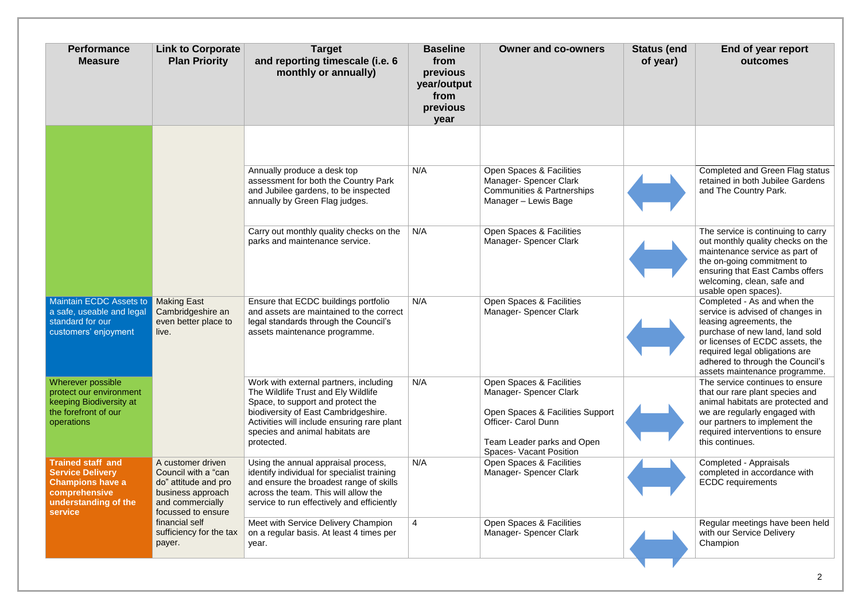| <b>Performance</b><br><b>Measure</b>                                                                                               | <b>Link to Corporate</b><br><b>Plan Priority</b>                                                                                                                                       | <b>Target</b><br>and reporting timescale (i.e. 6<br>monthly or annually)                                                                                                                                                                                   | <b>Baseline</b><br>from<br>previous<br>year/output<br>from<br>previous<br>year | <b>Owner and co-owners</b>                                                                                                                                                           | <b>Status (end</b><br>of year) | End of year report<br>outcomes                                                                                                                                                                                                                                          |
|------------------------------------------------------------------------------------------------------------------------------------|----------------------------------------------------------------------------------------------------------------------------------------------------------------------------------------|------------------------------------------------------------------------------------------------------------------------------------------------------------------------------------------------------------------------------------------------------------|--------------------------------------------------------------------------------|--------------------------------------------------------------------------------------------------------------------------------------------------------------------------------------|--------------------------------|-------------------------------------------------------------------------------------------------------------------------------------------------------------------------------------------------------------------------------------------------------------------------|
|                                                                                                                                    |                                                                                                                                                                                        | Annually produce a desk top<br>assessment for both the Country Park<br>and Jubilee gardens, to be inspected<br>annually by Green Flag judges.                                                                                                              | N/A                                                                            | Open Spaces & Facilities<br>Manager- Spencer Clark<br><b>Communities &amp; Partnerships</b><br>Manager - Lewis Bage                                                                  |                                | <b>Completed and Green Flag status</b><br>retained in both Jubilee Gardens<br>and The Country Park.                                                                                                                                                                     |
|                                                                                                                                    |                                                                                                                                                                                        | Carry out monthly quality checks on the<br>parks and maintenance service.                                                                                                                                                                                  | N/A                                                                            | Open Spaces & Facilities<br>Manager- Spencer Clark                                                                                                                                   |                                | The service is continuing to carry<br>out monthly quality checks on the<br>maintenance service as part of<br>the on-going commitment to<br>ensuring that East Cambs offers<br>welcoming, clean, safe and<br>usable open spaces).                                        |
| Maintain ECDC Assets to<br>a safe, useable and legal<br>standard for our<br>customers' enjoyment                                   | <b>Making East</b><br>Cambridgeshire an<br>even better place to<br>live.                                                                                                               | Ensure that ECDC buildings portfolio<br>and assets are maintained to the correct<br>legal standards through the Council's<br>assets maintenance programme.                                                                                                 | N/A                                                                            | Open Spaces & Facilities<br>Manager- Spencer Clark                                                                                                                                   |                                | Completed - As and when the<br>service is advised of changes in<br>leasing agreements, the<br>purchase of new land, land sold<br>or licenses of ECDC assets, the<br>required legal obligations are<br>adhered to through the Council's<br>assets maintenance programme. |
| Wherever possible<br>protect our environment<br>keeping Biodiversity at<br>the forefront of our<br>operations                      |                                                                                                                                                                                        | Work with external partners, including<br>The Wildlife Trust and Ely Wildlife<br>Space, to support and protect the<br>biodiversity of East Cambridgeshire.<br>Activities will include ensuring rare plant<br>species and animal habitats are<br>protected. | N/A                                                                            | Open Spaces & Facilities<br>Manager- Spencer Clark<br>Open Spaces & Facilities Support<br><b>Officer- Carol Dunn</b><br>Team Leader parks and Open<br><b>Spaces- Vacant Position</b> |                                | The service continues to ensure<br>that our rare plant species and<br>animal habitats are protected and<br>we are regularly engaged with<br>our partners to implement the<br>required interventions to ensure<br>this continues.                                        |
| <b>Trained staff and</b><br><b>Service Delivery</b><br><b>Champions have a</b><br>comprehensive<br>understanding of the<br>service | A customer driven<br>Council with a "can<br>do" attitude and pro<br>business approach<br>and commercially<br>focussed to ensure<br>financial self<br>sufficiency for the tax<br>payer. | Using the annual appraisal process,<br>identify individual for specialist training<br>and ensure the broadest range of skills<br>across the team. This will allow the<br>service to run effectively and efficiently                                        | N/A                                                                            | Open Spaces & Facilities<br>Manager- Spencer Clark                                                                                                                                   |                                | Completed - Appraisals<br>completed in accordance with<br><b>ECDC</b> requirements                                                                                                                                                                                      |
|                                                                                                                                    |                                                                                                                                                                                        | Meet with Service Delivery Champion<br>on a regular basis. At least 4 times per<br>year.                                                                                                                                                                   | 4                                                                              | Open Spaces & Facilities<br>Manager-Spencer Clark                                                                                                                                    |                                | Regular meetings have been held<br>with our Service Delivery<br>Champion                                                                                                                                                                                                |